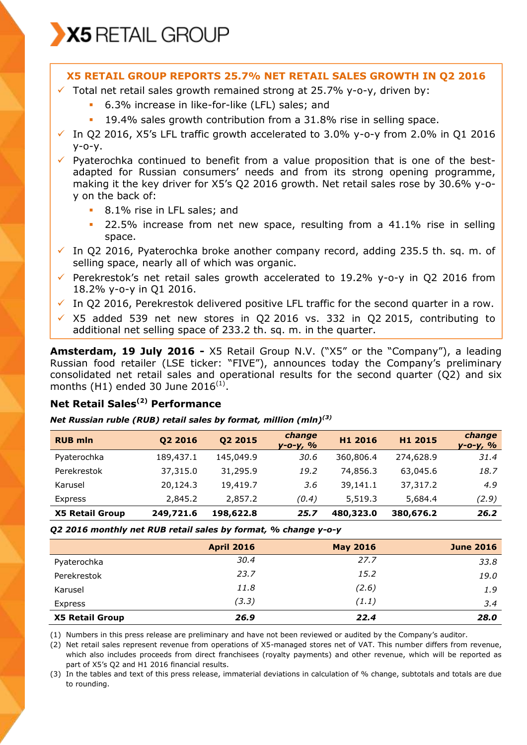

## **X5 RETAIL GROUP REPORTS 25.7% NET RETAIL SALES GROWTH IN Q2 2016**

- $\checkmark$  Total net retail sales growth remained strong at 25.7% y-o-y, driven by:
	- 6.3% increase in like-for-like (LFL) sales; and
	- 19.4% sales growth contribution from a 31.8% rise in selling space.
- $\checkmark$  In O2 2016, X5's LFL traffic growth accelerated to 3.0% y-o-y from 2.0% in O1 2016  $V - O - V.$

 $\checkmark$  Pyaterochka continued to benefit from a value proposition that is one of the bestadapted for Russian consumers' needs and from its strong opening programme, making it the key driver for X5's Q2 2016 growth. Net retail sales rose by 30.6% y-oy on the back of:

- **8.1%** rise in LFL sales; and
- **22.5%** increase from net new space, resulting from a 41.1% rise in selling space.
- $\checkmark$  In Q2 2016, Pyaterochka broke another company record, adding 235.5 th. sq. m. of selling space, nearly all of which was organic.
- Perekrestok's net retail sales growth accelerated to 19.2%  $y$ -o-y in Q2 2016 from 18.2% y-o-y in Q1 2016.
- $\checkmark$  In Q2 2016, Perekrestok delivered positive LFL traffic for the second quarter in a row.
- $\times$  X5 added 539 net new stores in Q2 2016 vs. 332 in Q2 2015, contributing to additional net selling space of 233.2 th. sq. m. in the quarter.

**Amsterdam, 19 July 2016 -** X5 Retail Group N.V. ("X5" or the "Company"), a leading Russian food retailer (LSE ticker: "FIVE"), announces today the Company's preliminary consolidated net retail sales and operational results for the second quarter (Q2) and six months (H1) ended 30 June 2016 $^{(1)}$ .

# **Net Retail Sales(2) Performance**

#### *Net Russian ruble (RUB) retail sales by format, million (mln)(3)*

| <b>RUB mln</b>         | 02 2016   | Q2 2015   | change<br>$y - 0 - y, %$ | H1 2016   | H1 2015   | change<br><u>y-o-y, %</u> |
|------------------------|-----------|-----------|--------------------------|-----------|-----------|---------------------------|
| Pyaterochka            | 189,437.1 | 145,049.9 | 30.6                     | 360,806.4 | 274,628.9 | 31.4                      |
| Perekrestok            | 37,315.0  | 31,295.9  | 19.2                     | 74,856.3  | 63,045.6  | 18.7                      |
| Karusel                | 20,124.3  | 19,419.7  | 3.6                      | 39,141.1  | 37,317.2  | 4.9                       |
| Express                | 2,845.2   | 2,857.2   | (0.4)                    | 5,519.3   | 5,684.4   | (2.9)                     |
| <b>X5 Retail Group</b> | 249,721.6 | 198,622.8 | 25.7                     | 480,323.0 | 380,676.2 | 26.2                      |

*Q2 2016 monthly net RUB retail sales by format, % change y-o-y* 

|                        | <b>April 2016</b> | <b>May 2016</b> | <b>June 2016</b> |
|------------------------|-------------------|-----------------|------------------|
| Pyaterochka            | 30.4              | 27.7            | 33.8             |
| Perekrestok            | 23.7              | 15.2            | 19.0             |
| Karusel                | 11.8              | (2.6)           | 1.9              |
| Express                | (3.3)             | (1.1)           | 3.4              |
| <b>X5 Retail Group</b> | 26.9              | 22.4            | 28.0             |

(1) Numbers in this press release are preliminary and have not been reviewed or audited by the Company's auditor.

(2) Net retail sales represent revenue from operations of X5-managed stores net of VAT. This number differs from revenue, which also includes proceeds from direct franchisees (royalty payments) and other revenue, which will be reported as part of X5's Q2 and H1 2016 financial results.

(3) In the tables and text of this press release, immaterial deviations in calculation of % change, subtotals and totals are due to rounding.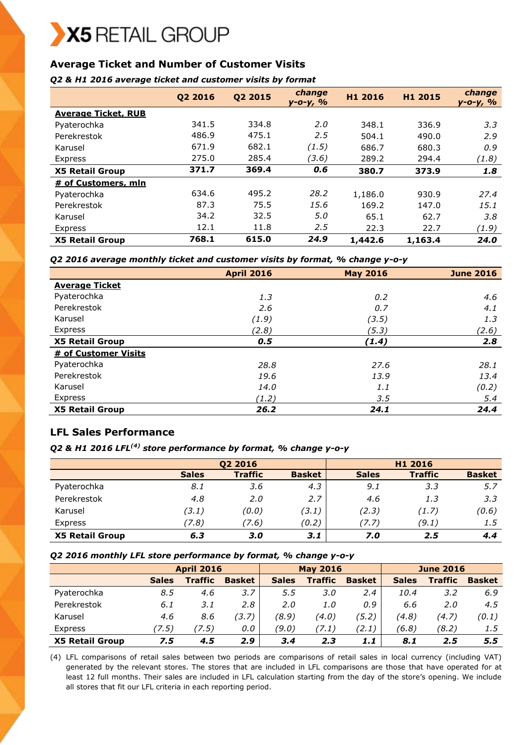# **Average Ticket and Number of Customer Visits**

#### *Q2 & H1 2016 average ticket and customer visits by format*

|                            | Q2 2016 | Q2 2015 | change<br>y-o-y, % | H1 2016 | H1 2015 | change<br><u>y-o-y, %</u> |
|----------------------------|---------|---------|--------------------|---------|---------|---------------------------|
| <b>Average Ticket, RUB</b> |         |         |                    |         |         |                           |
| Pyaterochka                | 341.5   | 334.8   | 2.0                | 348.1   | 336.9   | 3.3                       |
| Perekrestok                | 486.9   | 475.1   | 2.5                | 504.1   | 490.0   | 2.9                       |
| Karusel                    | 671.9   | 682.1   | (1.5)              | 686.7   | 680.3   | 0.9                       |
| Express                    | 275.0   | 285.4   | (3.6)              | 289.2   | 294.4   | (1.8)                     |
| <b>X5 Retail Group</b>     | 371.7   | 369.4   | 0.6                | 380.7   | 373.9   | 1.8                       |
| # of Customers, mln        |         |         |                    |         |         |                           |
| Pyaterochka                | 634.6   | 495.2   | 28.2               | 1,186.0 | 930.9   | 27.4                      |
| Perekrestok                | 87.3    | 75.5    | 15.6               | 169.2   | 147.0   | 15.1                      |
| Karusel                    | 34.2    | 32.5    | 5.0                | 65.1    | 62.7    | 3.8                       |
| Express                    | 12.1    | 11.8    | 2.5                | 22.3    | 22.7    | (1.9)                     |
| <b>X5 Retail Group</b>     | 768.1   | 615.0   | 24.9               | 1,442.6 | 1,163.4 | 24.0                      |

#### *Q2 2016 average monthly ticket and customer visits by format, % change y-o-y*

|                        | <b>April 2016</b> | <b>May 2016</b> | <b>June 2016</b> |
|------------------------|-------------------|-----------------|------------------|
| <b>Average Ticket</b>  |                   |                 |                  |
| Pyaterochka            | 1.3               | 0.2             | 4.6              |
| Perekrestok            | 2.6               | 0.7             | 4.1              |
| Karusel                | (1.9)             | (3.5)           | 1.3              |
| Express                | (2.8)             | (5.3)           | (2.6)            |
| <b>X5 Retail Group</b> | 0.5               | (1.4)           | 2.8              |
| # of Customer Visits   |                   |                 |                  |
| Pyaterochka            | 28.8              | 27.6            | 28.1             |
| Perekrestok            | 19.6              | 13.9            | 13.4             |
| Karusel                | 14.0              | 1.1             | (0.2)            |
| Express                | (1.2)             | 3.5             | 5.4              |
| <b>X5 Retail Group</b> | 26.2              | 24.1            | 24.4             |

# **LFL Sales Performance**

# *Q2 & H1 2016 LFL(4) store performance by format, % change y-o-y*

|                        |              | Q2 2016        |               |              | H1 2016        |               |
|------------------------|--------------|----------------|---------------|--------------|----------------|---------------|
|                        | <b>Sales</b> | <b>Traffic</b> | <b>Basket</b> | <b>Sales</b> | <b>Traffic</b> | <b>Basket</b> |
| Pyaterochka            | 8.1          | 3.6            | 4.3           | 9.1          | 3.3            | 5.7           |
| Perekrestok            | 4.8          | 2.0            | 2.7           | 4.6          | 1.3            | 3.3           |
| Karusel                | (3.1)        | (0.0)          | (3.1)         | (2.3)        | (1.7)          | (0.6)         |
| Express                | (7.8)        | 7.6)           | (0.2)         | (7.7)        | (9.1)          | 1.5           |
| <b>X5 Retail Group</b> | 6.3          | 3.0            | 3.1           | 7.0          | 2.5            | 4.4           |

#### *Q2 2016 monthly LFL store performance by format, % change y-o-y*

|                        | <b>April 2016</b> |                | <b>May 2016</b> |              |                | <b>June 2016</b> |              |                |               |
|------------------------|-------------------|----------------|-----------------|--------------|----------------|------------------|--------------|----------------|---------------|
|                        | <b>Sales</b>      | <b>Traffic</b> | <b>Basket</b>   | <b>Sales</b> | <b>Traffic</b> | <b>Basket</b>    | <b>Sales</b> | <b>Traffic</b> | <b>Basket</b> |
| Pyaterochka            | 8.5               | 4.6            | 3.7             | 5.5          | 3.0            | 2.4              | 10.4         | 3.2            | 6.9           |
| Perekrestok            | 6.1               | 3.1            | 2.8             | 2.0          | 1.0            | 0.9              | 6.6          | 2.O            | 4.5           |
| Karusel                | 4.6               | 8.6            | (3.7)           | (8.9)        | (4.0)          | (5.2)            | (4.8)        | (4.7)          | (0.1)         |
| Express                | (7.5)             | (7.5)          | 0.0             | (9.0)        | 7.1)           | (2.1)            | (6.8)        | (8.2)          | 1.5           |
| <b>X5 Retail Group</b> | 7.5               | 4.5            | 2.9             | 3.4          | 2.3            | 1.1              | 8.1          | 2.5            | 5.5           |

(4) LFL comparisons of retail sales between two periods are comparisons of retail sales in local currency (including VAT) generated by the relevant stores. The stores that are included in LFL comparisons are those that have operated for at least 12 full months. Their sales are included in LFL calculation starting from the day of the store's opening. We include all stores that fit our LFL criteria in each reporting period.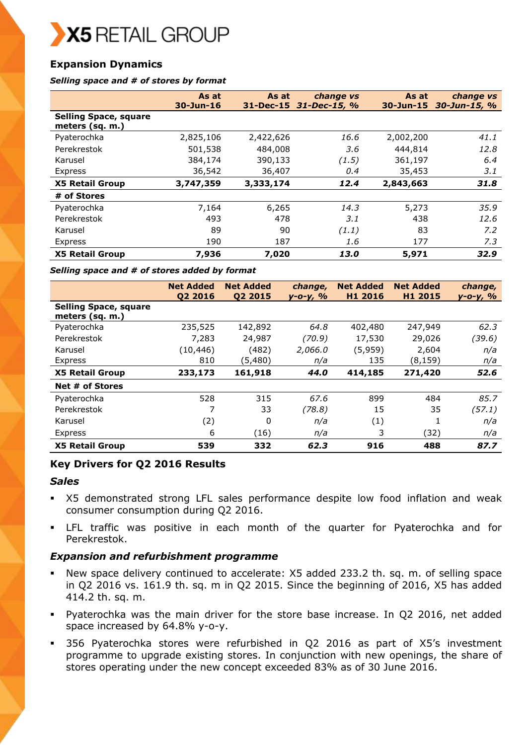# **Expansion Dynamics**

#### *Selling space and # of stores by format*

|                                                 | As at           | As at     | change vs              | As at           | change vs          |
|-------------------------------------------------|-----------------|-----------|------------------------|-----------------|--------------------|
| <b>Selling Space, square</b><br>meters (sq. m.) | $30 - Jun - 16$ |           | 31-Dec-15 31-Dec-15, % | $30 - Jun - 15$ | $30 - Jun - 15, %$ |
| Pyaterochka                                     | 2,825,106       | 2,422,626 | 16.6                   | 2,002,200       | 41.1               |
| Perekrestok                                     | 501,538         | 484,008   | 3.6                    | 444,814         | 12.8               |
| Karusel                                         | 384,174         | 390,133   | (1.5)                  | 361,197         | 6.4                |
| Express                                         | 36,542          | 36,407    | 0.4                    | 35,453          | 3.1                |
| <b>X5 Retail Group</b>                          | 3,747,359       | 3,333,174 | 12.4                   | 2,843,663       | 31.8               |
| # of Stores                                     |                 |           |                        |                 |                    |
| Pyaterochka                                     | 7,164           | 6,265     | 14.3                   | 5,273           | 35.9               |
| Perekrestok                                     | 493             | 478       | 3.1                    | 438             | 12.6               |
| Karusel                                         | 89              | 90        | (1.1)                  | 83              | 7.2                |
| Express                                         | 190             | 187       | 1.6                    | 177             | 7.3                |
| <b>X5 Retail Group</b>                          | 7,936           | 7,020     | 13.0                   | 5,971           | 32.9               |

#### *Selling space and # of stores added by format*

|                                                 | <b>Net Added</b><br>Q2 2016 | <b>Net Added</b><br>02 2015 | change,<br>у-о-у, % | <b>Net Added</b><br>H1 2016 | <b>Net Added</b><br>H1 2015 | change,<br><u>y-o-y, %</u> |
|-------------------------------------------------|-----------------------------|-----------------------------|---------------------|-----------------------------|-----------------------------|----------------------------|
| <b>Selling Space, square</b><br>meters (sq. m.) |                             |                             |                     |                             |                             |                            |
| Pyaterochka                                     | 235,525                     | 142,892                     | 64.8                | 402,480                     | 247,949                     | 62.3                       |
| Perekrestok                                     | 7,283                       | 24,987                      | (70.9)              | 17,530                      | 29,026                      | (39.6)                     |
| Karusel                                         | (10,446)                    | (482)                       | 2,066.0             | (5,959)                     | 2,604                       | n/a                        |
| Express                                         | 810                         | (5,480)                     | n/a                 | 135                         | (8,159)                     | n/a                        |
| <b>X5 Retail Group</b>                          | 233,173                     | 161,918                     | 44.0                | 414,185                     | 271,420                     | 52.6                       |
| Net # of Stores                                 |                             |                             |                     |                             |                             |                            |
| Pyaterochka                                     | 528                         | 315                         | 67.6                | 899                         | 484                         | 85.7                       |
| Perekrestok                                     | 7                           | 33                          | (78.8)              | 15                          | 35                          | (57.1)                     |
| Karusel                                         | (2)                         | $\Omega$                    | n/a                 | (1)                         |                             | n/a                        |
| Express                                         | 6                           | (16)                        | n/a                 | 3                           | (32)                        | n/a                        |
| <b>X5 Retail Group</b>                          | 539                         | 332                         | 62.3                | 916                         | 488                         | 87.7                       |

## **Key Drivers for Q2 2016 Results**

#### *Sales*

- X5 demonstrated strong LFL sales performance despite low food inflation and weak consumer consumption during Q2 2016.
- LFL traffic was positive in each month of the quarter for Pyaterochka and for Perekrestok.

## *Expansion and refurbishment programme*

- New space delivery continued to accelerate: X5 added 233.2 th. sq. m. of selling space in Q2 2016 vs. 161.9 th. sq. m in Q2 2015. Since the beginning of 2016, X5 has added 414.2 th. sq. m.
- Pyaterochka was the main driver for the store base increase. In Q2 2016, net added space increased by 64.8% y-o-y.
- 356 Pyaterochka stores were refurbished in Q2 2016 as part of X5's investment programme to upgrade existing stores. In conjunction with new openings, the share of stores operating under the new concept exceeded 83% as of 30 June 2016.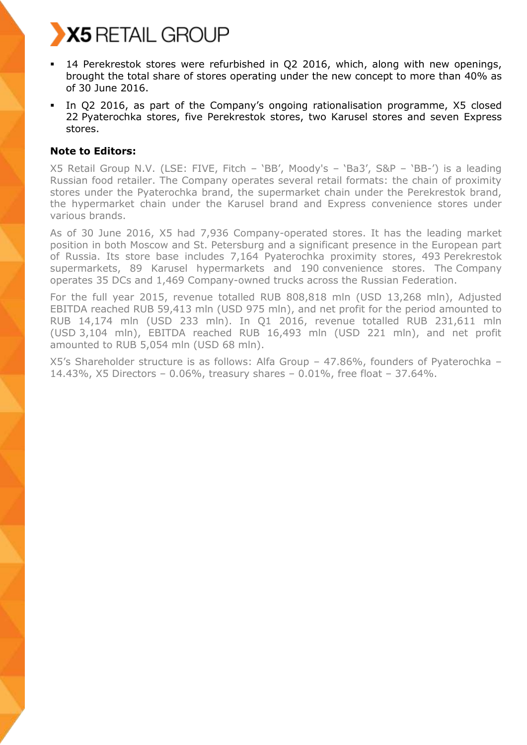- 14 Perekrestok stores were refurbished in Q2 2016, which, along with new openings, brought the total share of stores operating under the new concept to more than 40% as of 30 June 2016.
- In Q2 2016, as part of the Company's ongoing rationalisation programme, X5 closed 22 Pyaterochka stores, five Perekrestok stores, two Karusel stores and seven Express stores.

# **Note to Editors:**

X5 Retail Group N.V. (LSE: FIVE, Fitch – 'BB', Moody's – 'Ba3', S&P – 'BB-') is a leading Russian food retailer. The Company operates several retail formats: the chain of proximity stores under the Pyaterochka brand, the supermarket chain under the Perekrestok brand, the hypermarket chain under the Karusel brand and Express convenience stores under various brands.

As of 30 June 2016, X5 had 7,936 Company-operated stores. It has the leading market position in both Moscow and St. Petersburg and a significant presence in the European part of Russia. Its store base includes 7,164 Pyaterochka proximity stores, 493 Perekrestok supermarkets, 89 Karusel hypermarkets and 190 convenience stores. The Company operates 35 DCs and 1,469 Company-owned trucks across the Russian Federation.

For the full year 2015, revenue totalled RUB 808,818 mln (USD 13,268 mln), Adjusted EBITDA reached RUB 59,413 mln (USD 975 mln), and net profit for the period amounted to RUB 14,174 mln (USD 233 mln). In Q1 2016, revenue totalled RUB 231,611 mln (USD 3,104 mln), EBITDA reached RUB 16,493 mln (USD 221 mln), and net profit amounted to RUB 5,054 mln (USD 68 mln).

X5's Shareholder structure is as follows: Alfa Group – 47.86%, founders of Pyaterochka – 14.43%, X5 Directors – 0.06%, treasury shares – 0.01%, free float – 37.64%.